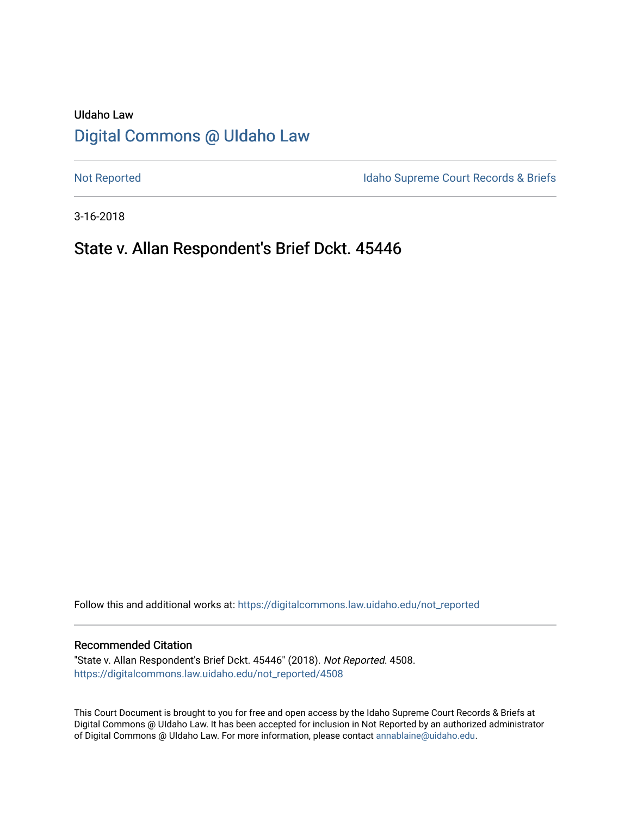# UIdaho Law [Digital Commons @ UIdaho Law](https://digitalcommons.law.uidaho.edu/)

[Not Reported](https://digitalcommons.law.uidaho.edu/not_reported) **Idaho Supreme Court Records & Briefs** 

3-16-2018

# State v. Allan Respondent's Brief Dckt. 45446

Follow this and additional works at: [https://digitalcommons.law.uidaho.edu/not\\_reported](https://digitalcommons.law.uidaho.edu/not_reported?utm_source=digitalcommons.law.uidaho.edu%2Fnot_reported%2F4508&utm_medium=PDF&utm_campaign=PDFCoverPages) 

#### Recommended Citation

"State v. Allan Respondent's Brief Dckt. 45446" (2018). Not Reported. 4508. [https://digitalcommons.law.uidaho.edu/not\\_reported/4508](https://digitalcommons.law.uidaho.edu/not_reported/4508?utm_source=digitalcommons.law.uidaho.edu%2Fnot_reported%2F4508&utm_medium=PDF&utm_campaign=PDFCoverPages)

This Court Document is brought to you for free and open access by the Idaho Supreme Court Records & Briefs at Digital Commons @ UIdaho Law. It has been accepted for inclusion in Not Reported by an authorized administrator of Digital Commons @ UIdaho Law. For more information, please contact [annablaine@uidaho.edu](mailto:annablaine@uidaho.edu).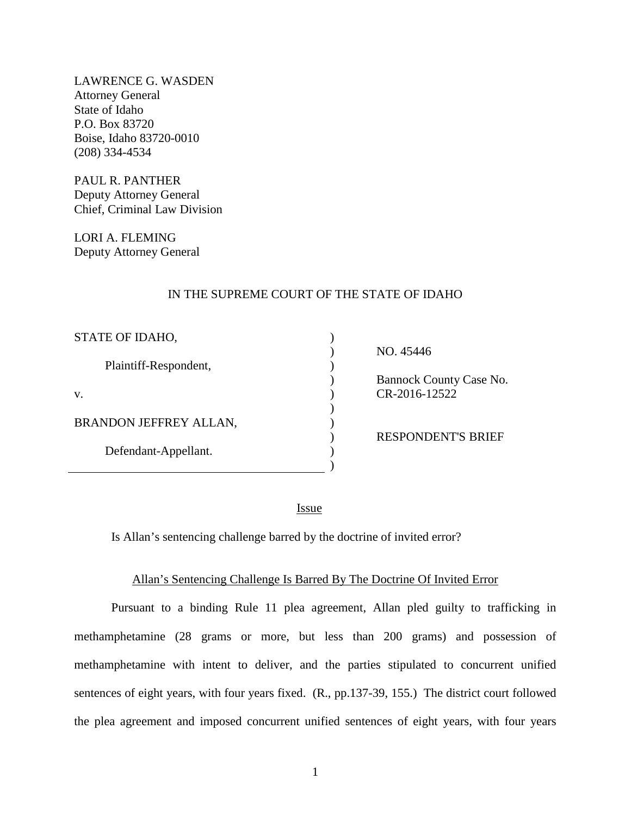LAWRENCE G. WASDEN Attorney General State of Idaho P.O. Box 83720 Boise, Idaho 83720-0010 (208) 334-4534

PAUL R. PANTHER Deputy Attorney General Chief, Criminal Law Division

LORI A. FLEMING Deputy Attorney General

#### IN THE SUPREME COURT OF THE STATE OF IDAHO

| STATE OF IDAHO,        |  |
|------------------------|--|
| Plaintiff-Respondent,  |  |
| V.                     |  |
| BRANDON JEFFREY ALLAN, |  |
| Defendant-Appellant.   |  |
|                        |  |

 NO. 45446 Bannock County Case No. CR-2016-12522

RESPONDENT'S BRIEF

<u>Issue</u>

Is Allan's sentencing challenge barred by the doctrine of invited error?

#### Allan's Sentencing Challenge Is Barred By The Doctrine Of Invited Error

Pursuant to a binding Rule 11 plea agreement, Allan pled guilty to trafficking in methamphetamine (28 grams or more, but less than 200 grams) and possession of methamphetamine with intent to deliver, and the parties stipulated to concurrent unified sentences of eight years, with four years fixed. (R., pp.137-39, 155.) The district court followed the plea agreement and imposed concurrent unified sentences of eight years, with four years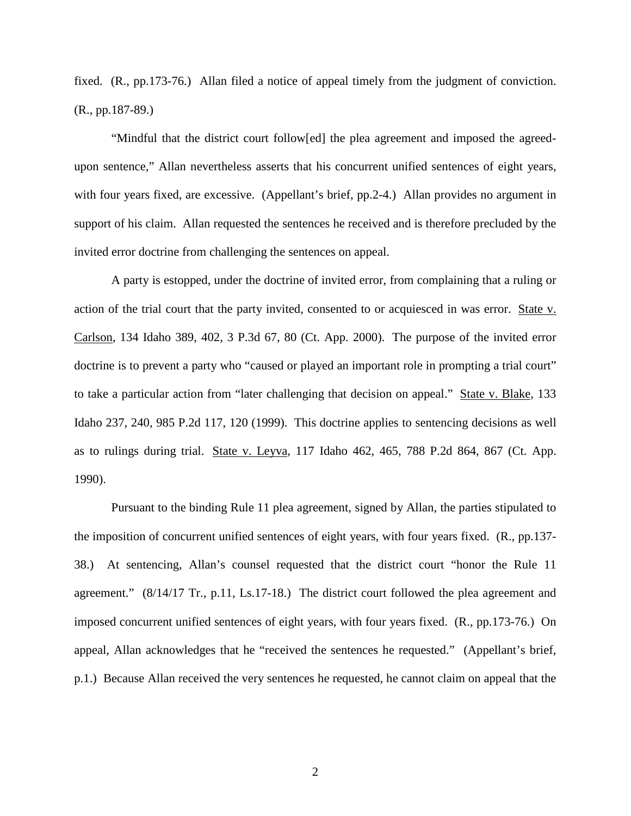fixed. (R., pp.173-76.) Allan filed a notice of appeal timely from the judgment of conviction. (R., pp.187-89.)

"Mindful that the district court follow[ed] the plea agreement and imposed the agreedupon sentence," Allan nevertheless asserts that his concurrent unified sentences of eight years, with four years fixed, are excessive. (Appellant's brief, pp.2-4.) Allan provides no argument in support of his claim. Allan requested the sentences he received and is therefore precluded by the invited error doctrine from challenging the sentences on appeal.

A party is estopped, under the doctrine of invited error, from complaining that a ruling or action of the trial court that the party invited, consented to or acquiesced in was error. State v. Carlson, 134 Idaho 389, 402, 3 P.3d 67, 80 (Ct. App. 2000). The purpose of the invited error doctrine is to prevent a party who "caused or played an important role in prompting a trial court" to take a particular action from "later challenging that decision on appeal." State v. Blake, 133 Idaho 237, 240, 985 P.2d 117, 120 (1999). This doctrine applies to sentencing decisions as well as to rulings during trial. State v. Leyva, 117 Idaho 462, 465, 788 P.2d 864, 867 (Ct. App. 1990).

Pursuant to the binding Rule 11 plea agreement, signed by Allan, the parties stipulated to the imposition of concurrent unified sentences of eight years, with four years fixed. (R., pp.137- 38.) At sentencing, Allan's counsel requested that the district court "honor the Rule 11 agreement." (8/14/17 Tr., p.11, Ls.17-18.) The district court followed the plea agreement and imposed concurrent unified sentences of eight years, with four years fixed. (R., pp.173-76.) On appeal, Allan acknowledges that he "received the sentences he requested." (Appellant's brief, p.1.) Because Allan received the very sentences he requested, he cannot claim on appeal that the